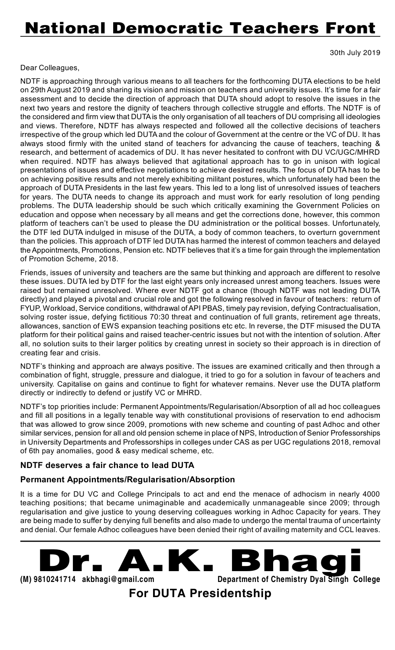# **National Democratic Teachers Front**

30th July 2019

#### Dear Colleagues,

NDTF is approaching through various means to all teachers for the forthcoming DUTA elections to be held on 29th August 2019 and sharing its vision and mission on teachers and university issues. It's time for a fair assessment and to decide the direction of approach that DUTA should adopt to resolve the issues in the next two years and restore the dignity of teachers through collective struggle and efforts. The NDTF is of the considered and firm view that DUTA is the only organisation of all teachers of DU comprising all ideologies and views. Therefore, NDTF has always respected and followed all the collective decisions of teachers irrespective of the group which led DUTA and the colour of Government at the centre or the VC of DU. It has always stood firmly with the united stand of teachers for advancing the cause of teachers, teaching & research, and betterment of academics of DU. It has never hesitated to confront with DU VC/UGC/MHRD when required. NDTF has always believed that agitational approach has to go in unison with logical presentations of issues and effective negotiations to achieve desired results. The focus of DUTA has to be on achieving positive results and not merely exhibiting militant postures, which unfortunately had been the approach of DUTA Presidents in the last few years. This led to a long list of unresolved issues of teachers for years. The DUTA needs to change its approach and must work for early resolution of long pending problems. The DUTA leadership should be such which critically examining the Government Policies on education and oppose when necessary by all means and get the corrections done, however, this common platform of teachers can't be used to please the DU administration or the political bosses. Unfortunately, the DTF led DUTA indulged in misuse of the DUTA, a body of common teachers, to overturn government than the policies. This approach of DTF led DUTA has harmed the interest of common teachers and delayed the Appointments, Promotions, Pension etc. NDTF believes that it's a time for gain through the implementation of Promotion Scheme, 2018.

Friends, issues of university and teachers are the same but thinking and approach are different to resolve these issues. DUTA led by DTF for the last eight years only increased unrest among teachers. Issues were raised but remained unresolved. Where ever NDTF got a chance (though NDTF was not leading DUTA directly) and played a pivotal and crucial role and got the following resolved in favour of teachers: return of FYUP, Workload, Service conditions, withdrawal of API PBAS, timely pay revision, defying Contractualisation, solving roster issue, defying fictitious 70:30 threat and continuation of full grants, retirement age threats, allowances, sanction of EWS expansion teaching positions etc etc. In reverse, the DTF misused the DUTA platform for their political gains and raised teacher-centric issues but not with the intention of solution. After all, no solution suits to their larger politics by creating unrest in society so their approach is in direction of creating fear and crisis.

NDTF's thinking and approach are always positive. The issues are examined critically and then through a combination of fight, struggle, pressure and dialogue, it tried to go for a solution in favour of teachers and university. Capitalise on gains and continue to fight for whatever remains. Never use the DUTA platform directly or indirectly to defend or justify VC or MHRD.

NDTF's top priorities include: Permanent Appointments/Regularisation/Absorption of all ad hoc colleagues and fill all positions in a legally tenable way with constitutional provisions of reservation to end adhocism that was allowed to grow since 2009, promotions with new scheme and counting of past Adhoc and other similar services, pension for all and old pension scheme in place of NPS, Introduction of Senior Professorships in University Departments and Professorships in colleges under CAS as per UGC regulations 2018, removal of 6th pay anomalies, good & easy medical scheme, etc.

#### **NDTF deserves a fair chance to lead DUTA**

#### **Permanent Appointments/Regularisation/Absorption**

It is a time for DU VC and College Principals to act and end the menace of adhocism in nearly 4000 teaching positions; that became unimaginable and academically unmanageable since 2009; through regularisation and give justice to young deserving colleagues working in Adhoc Capacity for years. They are being made to suffer by denying full benefits and also made to undergo the mental trauma of uncertainty and denial. Our female Adhoc colleagues have been denied their right of availing maternity and CCL leaves.

**Dr. A.K . Bhaging** 

**(M) 9810241714 [akbhagi@gmail.com](mailto:akbhagi@gmail.com) Department of Chemistry Dyal Singh College**

**For DUTA Presidentship**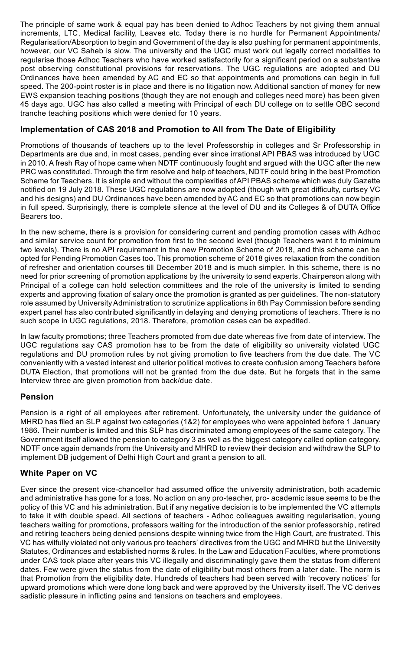The principle of same work & equal pay has been denied to Adhoc Teachers by not giving them annual increments, LTC, Medical facility, Leaves etc. Today there is no hurdle for Permanent Appointments/ Regularisation/Absorption to begin and Government of the day is also pushing for permanent appointments, however, our VC Saheb is slow. The university and the UGC must work out legally correct modalities to regularise those Adhoc Teachers who have worked satisfactorily for a significant period on a substantive post observing constitutional provisions for reservations. The UGC regulations are adopted and DU Ordinances have been amended by AC and EC so that appointments and promotions can begin in full speed. The 200-point roster is in place and there is no litigation now. Additional sanction of money for new EWS expansion teaching positions (though they are not enough and colleges need more) has been given 45 days ago. UGC has also called a meeting with Principal of each DU college on to settle OBC second tranche teaching positions which were denied for 10 years.

#### **Implementation of CAS 2018 and Promotion to All from The Date of Eligibility**

Promotions of thousands of teachers up to the level Professorship in colleges and Sr Professorship in Departments are due and, in most cases, pending ever since irrational API PBAS was introduced by UGC in 2010. A fresh Ray of hope came when NDTF continuously fought and argued with the UGC after the new PRC was constituted. Through the firm resolve and help of teachers, NDTF could bring in the best Promotion Scheme for Teachers. It is simple and without the complexities of API PBAS scheme which was duly Gazette notified on 19 July 2018. These UGC regulations are now adopted (though with great difficulty, curtsey VC and his designs) and DU Ordinances have been amended by AC and EC so that promotions can now begin in full speed. Surprisingly, there is complete silence at the level of DU and its Colleges & of DUTA Office Bearers too.

In the new scheme, there is a provision for considering current and pending promotion cases with Adhoc and similar service count for promotion from first to the second level (though Teachers want it to minimum two levels). There is no API requirement in the new Promotion Scheme of 2018, and this scheme can be opted for Pending Promotion Cases too. This promotion scheme of 2018 gives relaxation from the condition of refresher and orientation courses till December 2018 and is much simpler. In this scheme, there is no need for prior screening of promotion applications by the university to send experts. Chairperson along with Principal of a college can hold selection committees and the role of the university is limited to sending experts and approving fixation of salary once the promotion is granted as per guidelines. The non-statutory role assumed by University Administration to scrutinize applications in 6th Pay Commission before sending expert panel has also contributed significantly in delaying and denying promotions of teachers. There is no such scope in UGC regulations, 2018. Therefore, promotion cases can be expedited.

In law faculty promotions; three Teachers promoted from due date whereas five from date of interview. The UGC regulations say CAS promotion has to be from the date of eligibility so university violated UGC regulations and DU promotion rules by not giving promotion to five teachers from the due date. The VC conveniently with a vested interest and ulterior political motives to create confusion among Teachers before DUTA Election, that promotions will not be granted from the due date. But he forgets that in the same Interview three are given promotion from back/due date.

#### **Pension**

Pension is a right of all employees after retirement. Unfortunately, the university under the guidance of MHRD has filed an SLP against two categories (1&2) for employees who were appointed before 1 January 1986. Their number is limited and this SLP has discriminated among employees of the same category. The Government itself allowed the pension to category 3 as well as the biggest category called option category. NDTF once again demands from the University and MHRD to review their decision and withdraw the SLP to implement DB judgement of Delhi High Court and grant a pension to all.

#### **White Paper on VC**

Ever since the present vice-chancellor had assumed office the university administration, both academic and administrative has gone for a toss. No action on any pro-teacher, pro- academic issue seems to be the policy of this VC and his administration. But if any negative decision is to be implemented the VC attempts to take it with double speed. All sections of teachers - Adhoc colleagues awaiting regularisation, young teachers waiting for promotions, professors waiting for the introduction of the senior professorship, retired and retiring teachers being denied pensions despite winning twice from the High Court, are frustrated. This VC has wilfully violated not only various pro teachers' directives from the UGC and MHRD but the University Statutes, Ordinances and established norms & rules. In the Law and Education Faculties, where promotions under CAS took place after years this VC illegally and discriminatingly gave them the status from different dates. Few were given the status from the date of eligibility but most others from a later date. The norm is that Promotion from the eligibility date. Hundreds of teachers had been served with 'recovery notices' for upward promotions which were done long back and were approved by the University itself. The VC derives sadistic pleasure in inflicting pains and tensions on teachers and employees.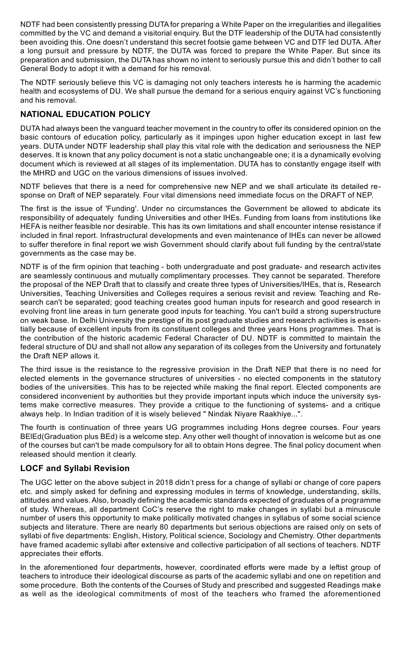NDTF had been consistently pressing DUTA for preparing a White Paper on the irregularities and illegalities committed by the VC and demand a visitorial enquiry. But the DTF leadership of the DUTA had consistently been avoiding this. One doesn't understand this secret footsie game between VC and DTF led DUTA. After a long pursuit and pressure by NDTF, the DUTA was forced to prepare the White Paper. But since its preparation and submission, the DUTA has shown no intent to seriously pursue this and didn't bother to call General Body to adopt it with a demand for his removal.

The NDTF seriously believe this VC is damaging not only teachers interests he is harming the academic health and ecosystems of DU. We shall pursue the demand for a serious enquiry against VC's functioning and his removal.

#### **NATIONAL EDUCATION POLICY**

DUTA had always been the vanguard teacher movement in the country to offer its considered opinion on the basic contours of education policy, particularly as it impinges upon higher education except in last few years. DUTA under NDTF leadership shall play this vital role with the dedication and seriousness the NEP deserves. It is known that any policy document is not a static unchangeable one; it is a dynamically evolving document which is reviewed at all stages of its implementation. DUTA has to constantly engage itself with the MHRD and UGC on the various dimensions of issues involved.

NDTF believes that there is a need for comprehensive new NEP and we shall articulate its detailed response on Draft of NEP separately. Four vital dimensions need immediate focus on the DRAFT of NEP.

The first is the issue of 'Funding'. Under no circumstances the Government be allowed to abdicate its responsibility of adequately funding Universities and other IHEs. Funding from loans from institutions like HEFA is neither feasible nor desirable. This has its own limitations and shall encounter intense resistance if included in final report. Infrastructural developments and even maintenance of IHEs can never be allowed to suffer therefore in final report we wish Government should clarify about full funding by the central/state governments as the case may be.

NDTF is of the firm opinion that teaching - both undergraduate and post graduate- and research activites are seamlessly continuous and mutually complimentary processes. They cannot be separated. Therefore the proposal of the NEP Draft that to classify and create three types of Universities/IHEs, that is, Research Universities, Teaching Universities and Colleges requires a serious revisit and review. Teaching and Research can't be separated; good teaching creates good human inputs for research and good research in evolving front line areas in turn generate good inputs for teaching. You can't build a strong superstructure on weak base. In Delhi University the prestige of its post graduate studies and research activities is essentially because of excellent inputs from its constituent colleges and three years Hons programmes. That is the contribution of the historic academic Federal Character of DU. NDTF is committed to maintain the federal structure of DU and shall not allow any separation of its colleges from the University and fortunately the Draft NEP allows it.

The third issue is the resistance to the regressive provision in the Draft NEP that there is no need for elected elements in the governance structures of universities - no elected components in the statutory bodies of the universities. This has to be rejected while making the final report. Elected components are considered inconvenient by authorities but they provide important inputs which induce the university systems make corrective measures. They provide a critique to the functioning of systems- and a critique always help. In Indian tradition of it is wisely believed " Nindak Niyare Raakhiye...".

The fourth is continuation of three years UG programmes including Hons degree courses. Four years BElEd(Graduation plus BEd) is a welcome step. Any other well thought of innovation is welcome but as one of the courses but can't be made compulsory for all to obtain Hons degree. The final policy document when released should mention it clearly.

#### **LOCF and Syllabi Revision**

The UGC letter on the above subject in 2018 didn't press for a change of syllabi or change of core papers etc. and simply asked for defining and expressing modules in terms of knowledge, understanding, skills, attitudes and values. Also, broadly defining the academic standards expected of graduates of a programme of study. Whereas, all department CoC's reserve the right to make changes in syllabi but a minuscule number of users this opportunity to make politically motivated changes in syllabus of some social science subjects and literature. There are nearly 80 departments but serious objections are raised only on sets of syllabi of five departments: English, History, Political science, Sociology and Chemistry. Other departments have framed academic syllabi after extensive and collective participation of all sections of teachers. NDTF appreciates their efforts.

In the aforementioned four departments, however, coordinated efforts were made by a leftist group of teachers to introduce their ideological discourse as parts of the academic syllabi and one on repetition and some procedure. Both the contents of the Courses of Study and prescribed and suggested Readings make as well as the ideological commitments of most of the teachers who framed the aforementioned